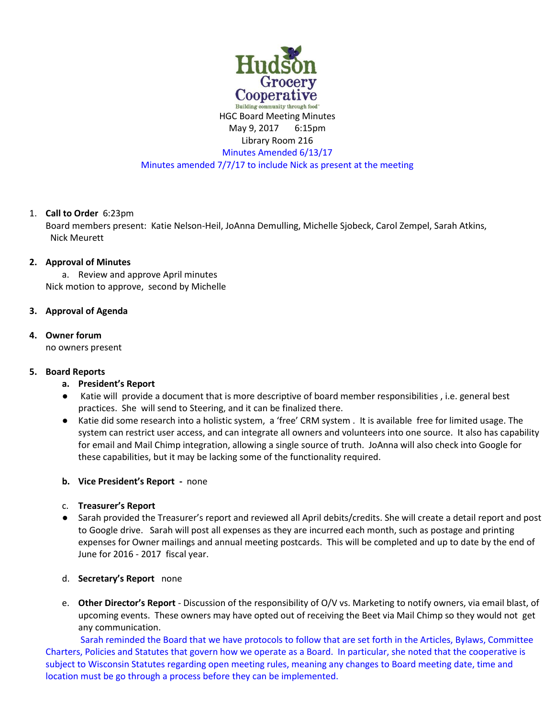

HGC Board Meeting Minutes May 9, 2017 6:15pm Library Room 216 Minutes Amended 6/13/17 Minutes amended 7/7/17 to include Nick as present at the meeting

## 1. **Call to Order** 6:23pm

Board members present: Katie Nelson-Heil, JoAnna Demulling, Michelle Sjobeck, Carol Zempel, Sarah Atkins, Nick Meurett

#### **2. Approval of Minutes**

a. Review and approve April minutes Nick motion to approve, second by Michelle

## **3. Approval of Agenda**

#### **4. Owner forum**

no owners present

## **5. Board Reports**

- **a. President's Report**
- Katie will provide a document that is more descriptive of board member responsibilities, i.e. general best practices. She will send to Steering, and it can be finalized there.
- Katie did some research into a holistic system, a 'free' CRM system . It is available free for limited usage. The system can restrict user access, and can integrate all owners and volunteers into one source. It also has capability for email and Mail Chimp integration, allowing a single source of truth. JoAnna will also check into Google for these capabilities, but it may be lacking some of the functionality required.

## **b. Vice President's Report -** none

- c. **Treasurer's Report**
- Sarah provided the Treasurer's report and reviewed all April debits/credits. She will create a detail report and post to Google drive. Sarah will post all expenses as they are incurred each month, such as postage and printing expenses for Owner mailings and annual meeting postcards. This will be completed and up to date by the end of June for 2016 - 2017 fiscal year.

## d. **Secretary's Report** none

e. **Other Director's Report** - Discussion of the responsibility of O/V vs. Marketing to notify owners, via email blast, of upcoming events. These owners may have opted out of receiving the Beet via Mail Chimp so they would not get any communication.

Sarah reminded the Board that we have protocols to follow that are set forth in the Articles, Bylaws, Committee Charters, Policies and Statutes that govern how we operate as a Board. In particular, she noted that the cooperative is subject to Wisconsin Statutes regarding open meeting rules, meaning any changes to Board meeting date, time and location must be go through a process before they can be implemented.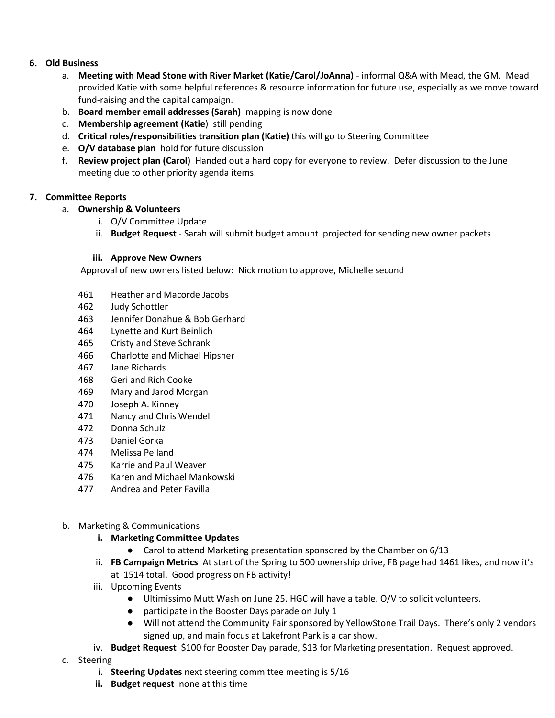## **6. Old Business**

- a. **Meeting with Mead Stone with River Market (Katie/Carol/JoAnna)**  informal Q&A with Mead, the GM. Mead provided Katie with some helpful references & resource information for future use, especially as we move toward fund-raising and the capital campaign.
- b. **Board member email addresses (Sarah)** mapping is now done
- c. **Membership agreement (Katie**) still pending
- d. **Critical roles/responsibilities transition plan (Katie)** this will go to Steering Committee
- e. **O/V database plan** hold for future discussion
- f. **Review project plan (Carol)** Handed out a hard copy for everyone to review. Defer discussion to the June meeting due to other priority agenda items.

#### **7. Committee Reports**

- a. **Ownership & Volunteers**
	- i. O/V Committee Update
	- ii. **Budget Request**  Sarah will submit budget amount projected for sending new owner packets

#### **iii. Approve New Owners**

Approval of new owners listed below: Nick motion to approve, Michelle second

- 461 Heather and Macorde Jacobs
- 462 Judy Schottler
- 463 Jennifer Donahue & Bob Gerhard
- 464 Lynette and Kurt Beinlich
- 465 Cristy and Steve Schrank
- 466 Charlotte and Michael Hipsher
- 467 Jane Richards
- 468 Geri and Rich Cooke
- 469 Mary and Jarod Morgan
- 470 Joseph A. Kinney
- 471 Nancy and Chris Wendell
- 472 Donna Schulz
- 473 Daniel Gorka
- 474 Melissa Pelland
- 475 Karrie and Paul Weaver
- 476 Karen and Michael Mankowski
- 477 Andrea and Peter Favilla
- b. Marketing & Communications
	- **i. Marketing Committee Updates**
		- Carol to attend Marketing presentation sponsored by the Chamber on 6/13
	- ii. **FB Campaign Metrics** At start of the Spring to 500 ownership drive, FB page had 1461 likes, and now it's at 1514 total. Good progress on FB activity!
	- iii. Upcoming Events
		- Ultimissimo Mutt Wash on June 25. HGC will have a table. O/V to solicit volunteers.
		- participate in the Booster Days parade on July 1
		- Will not attend the Community Fair sponsored by YellowStone Trail Days. There's only 2 vendors signed up, and main focus at Lakefront Park is a car show.
	- iv. **Budget Request** \$100 for Booster Day parade, \$13 for Marketing presentation. Request approved.
- c. Steering
	- i. **Steering Updates** next steering committee meeting is 5/16
	- **ii. Budget request** none at this time